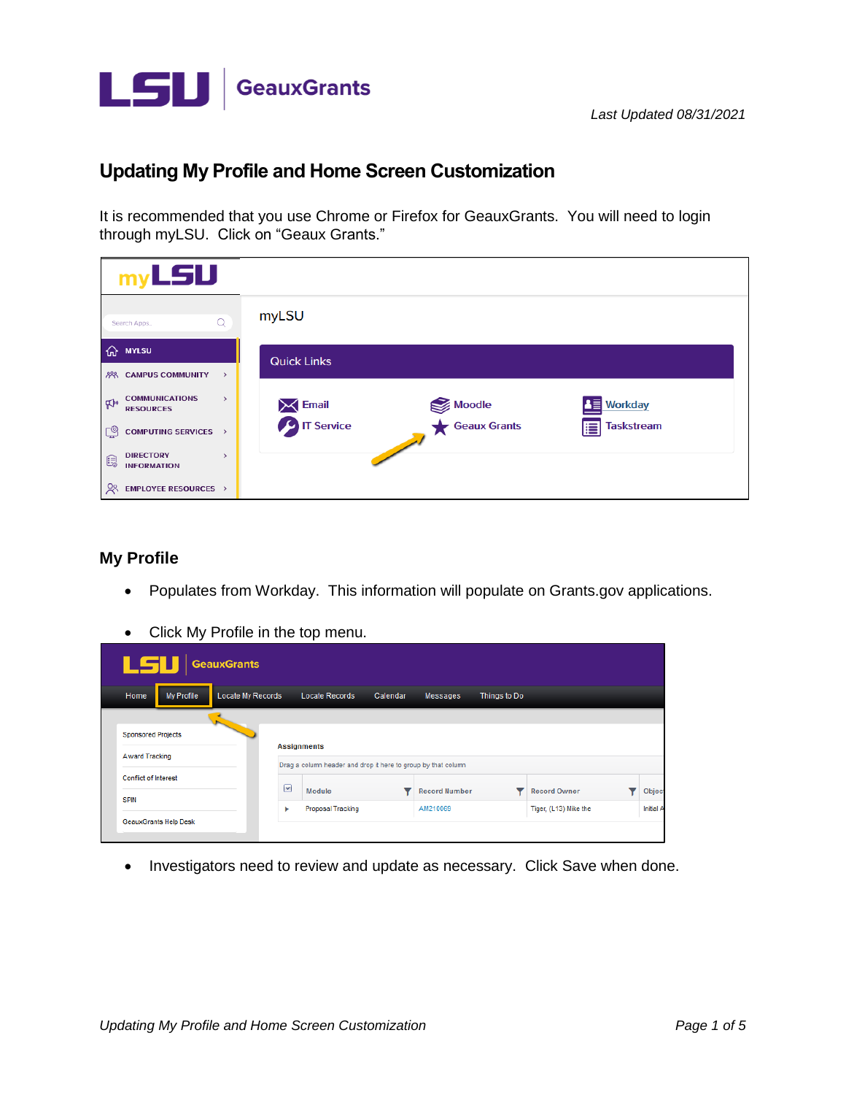

## **Updating My Profile and Home Screen Customization**

It is recommended that you use Chrome or Firefox for GeauxGrants. You will need to login through myLSU. Click on "Geaux Grants."

| $my$ <b>LSU</b>                                                              |                                                                  |
|------------------------------------------------------------------------------|------------------------------------------------------------------|
| Q<br>Search Apps                                                             | myLSU                                                            |
| <b>MYLSU</b><br>⋒                                                            | <b>Quick Links</b>                                               |
| <b>8% CAMPUS COMMUNITY</b><br>$\rightarrow$                                  |                                                                  |
| <b>COMMUNICATIONS</b><br>$\rightarrow$<br>$\mathbb{R}^n$<br><b>RESOURCES</b> | 图 Workday<br>Moodle<br>Geaux Grants<br><b>Email</b><br>T Service |
| ලු<br><b>COMPUTING SERVICES &gt;</b>                                         | <b>Taskstream</b><br>肩                                           |
| <b>DIRECTORY</b><br>$\rightarrow$<br>e<br><b>INFORMATION</b>                 |                                                                  |
| $\frac{5}{2}$<br><b>EMPLOYEE RESOURCES &gt;</b>                              |                                                                  |

## **My Profile**

- Populates from Workday. This information will populate on [Grants.gov](https://Grants.gov) applications.
- Click My Profile in the top menu.

| LSU                          | <b>GeauxGrants</b>  |                                                                                     |          |                      |              |                       |           |
|------------------------------|---------------------|-------------------------------------------------------------------------------------|----------|----------------------|--------------|-----------------------|-----------|
| <b>My Profile</b><br>Home    | Locate My Records   | Locate Records                                                                      | Calendar | Messages             | Things to Do |                       |           |
| <b>Sponsored Projects</b>    |                     |                                                                                     |          |                      |              |                       |           |
| <b>Award Tracking</b>        |                     | <b>Assignments</b><br>Drag a column header and drop it here to group by that column |          |                      |              |                       |           |
| <b>Conflict of Interest</b>  | $\boxed{\mathbf v}$ | Module                                                                              |          | <b>Record Number</b> |              | <b>Record Owner</b>   | Object    |
| <b>SPIN</b>                  | ь                   | Proposal Tracking                                                                   |          | AM210069             |              | Tiger, (L13) Mike the | Initial A |
| <b>GeauxGrants Help Desk</b> |                     |                                                                                     |          |                      |              |                       |           |

• Investigators need to review and update as necessary. Click Save when done.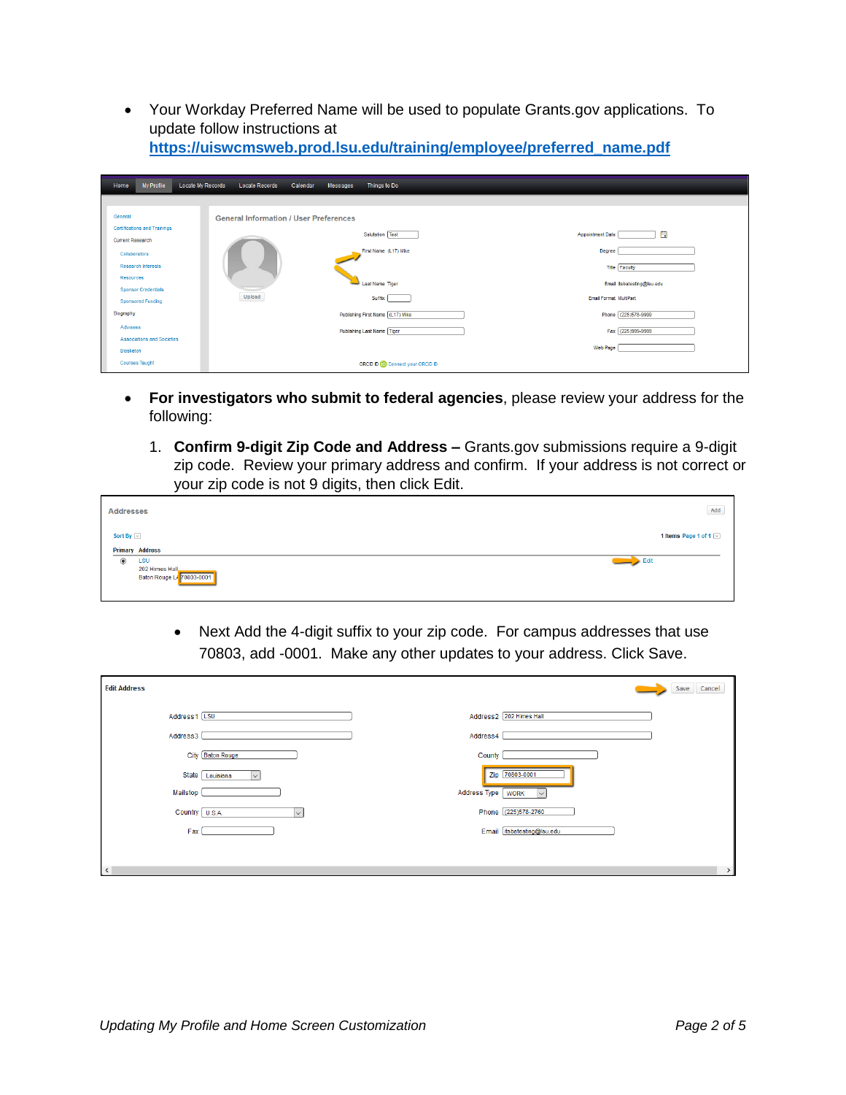• Your Workday Preferred Name will be used to populate Grants.gov applications. To update follow instructions at https://uiswcmsweb.prod.lsu.edu/training/employee/preferred\_name.pdf

| My Profile<br>Home                                             | Locate My Records<br><b>Locate Records</b><br>Calendar | Things to Do<br>Messages          |                                                    |
|----------------------------------------------------------------|--------------------------------------------------------|-----------------------------------|----------------------------------------------------|
| General                                                        | <b>General Information / User Preferences</b>          |                                   |                                                    |
| <b>Certifications and Trainings</b><br><b>Current Research</b> |                                                        | Salutation Test                   | 自<br><b>Appointment Date</b>                       |
| Collaborators                                                  |                                                        | First Name (L17) Mike             | <b>Degree</b>                                      |
| <b>Research Interests</b><br>Resources                         |                                                        | Last Name Tiger                   | <b>Title Faculty</b><br>Email itsbatesting@lsu.edu |
| <b>Sponsor Credentials</b><br><b>Sponsored Funding</b>         | Upload                                                 | Suffix                            | Email Format MultiPart                             |
| Biography<br>Advisees                                          |                                                        | Publishing First Name (L17) Mike  | Phone (225)578-9999                                |
| Associations and Societies                                     |                                                        | Publishing Last Name Tiger        | Fax (225)999-9999<br><b>Web Page</b>               |
| Biosketch<br><b>Courses Taught</b>                             |                                                        | ORCID ID (D Connect your ORCID ID |                                                    |

- For investigators who submit to federal agencies, please review your address for the following:
	- 1. Confirm 9-digit Zip Code and Address Grants.gov submissions require a 9-digit zip code. Review your primary address and confirm. If your address is not correct or your zip code is not 9 digits, then click Edit.

| <b>Addresses</b>         |                                                           | $\operatorname{\mathsf{Add}}$ |
|--------------------------|-----------------------------------------------------------|-------------------------------|
| Sort By $\boxed{\smile}$ | <b>Primary Address</b>                                    | 1 Items Page 1 of 1           |
| $_{\circ}$               | <b>LSU</b><br>202 Himes Hall<br>Baton Rouge LA 70803-0001 | $\qquad \qquad$ Edit          |

Next Add the 4-digit suffix to your zip code. For campus addresses that use  $\bullet$ 70803, add -0001. Make any other updates to your address. Click Save.

| <b>Edit Address</b>                       | Save Cancel                 |
|-------------------------------------------|-----------------------------|
| Address1 [LSU                             | Address2 202 Himes Hall     |
| Address3                                  | Address4                    |
| City Baton Rouge                          | County                      |
| <b>State</b><br>Louisiana<br>$\checkmark$ | Zip 70803-0001              |
| Mailstop                                  | Address Type<br><b>WORK</b> |
| Country U.S.A.<br>$\checkmark$            | Phone (225)578-2760         |
| Fax                                       | Email itsbatesting@lsu.edu  |
|                                           |                             |
| $\,<$                                     |                             |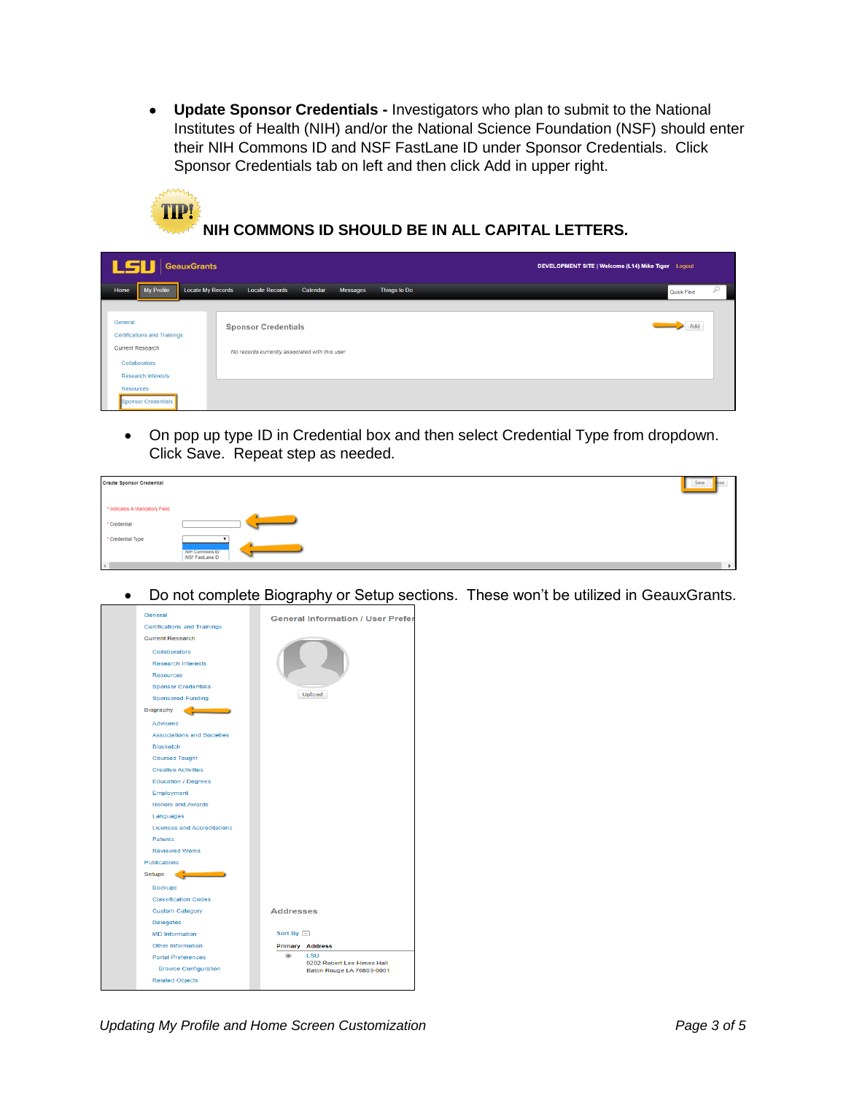• Update Sponsor Credentials - Investigators who plan to submit to the National Institutes of Health (NIH) and/or the National Science Foundation (NSF) should enter their NIH Commons ID and NSF FastLane ID under Sponsor Credentials. Click Sponsor Credentials tab on left and then click Add in upper right.



NIH COMMONS ID SHOULD BE IN ALL CAPITAL LETTERS.

| LSU<br>GeauxGrants                                                                                                                                          |                                                                              | DEVELOPMENT SITE   Welcome (L14) Mike Tiger Logout |
|-------------------------------------------------------------------------------------------------------------------------------------------------------------|------------------------------------------------------------------------------|----------------------------------------------------|
| My Profile<br><b>Locate My Records</b><br>Home                                                                                                              | Things to Do<br><b>Locate Records</b><br>Messages<br>Calendar                | Q<br>Quick Find                                    |
| General<br><b>Certifications and Trainings</b><br><b>Current Research</b><br>Collaborators<br><b>Research Interests</b><br>Resources<br>Sponsor Credentials | <b>Sponsor Credentials</b><br>No records currently associated with this user | Add                                                |

On pop up type ID in Credential box and then select Credential Type from dropdown.  $\bullet$ Click Save. Repeat step as needed.

| Create Sponsor Credential                              | Save                 |
|--------------------------------------------------------|----------------------|
| * Indicates A Mandatory Field<br>* Credential          |                      |
| * Credential Type<br>NIH Commons ID<br>NSF FastLane ID |                      |
| $\left  \cdot \right $                                 | $\ddot{\phantom{1}}$ |

Do not complete Biography or Setup sections. These won't be utilized in GeauxGrants.  $\bullet$ 

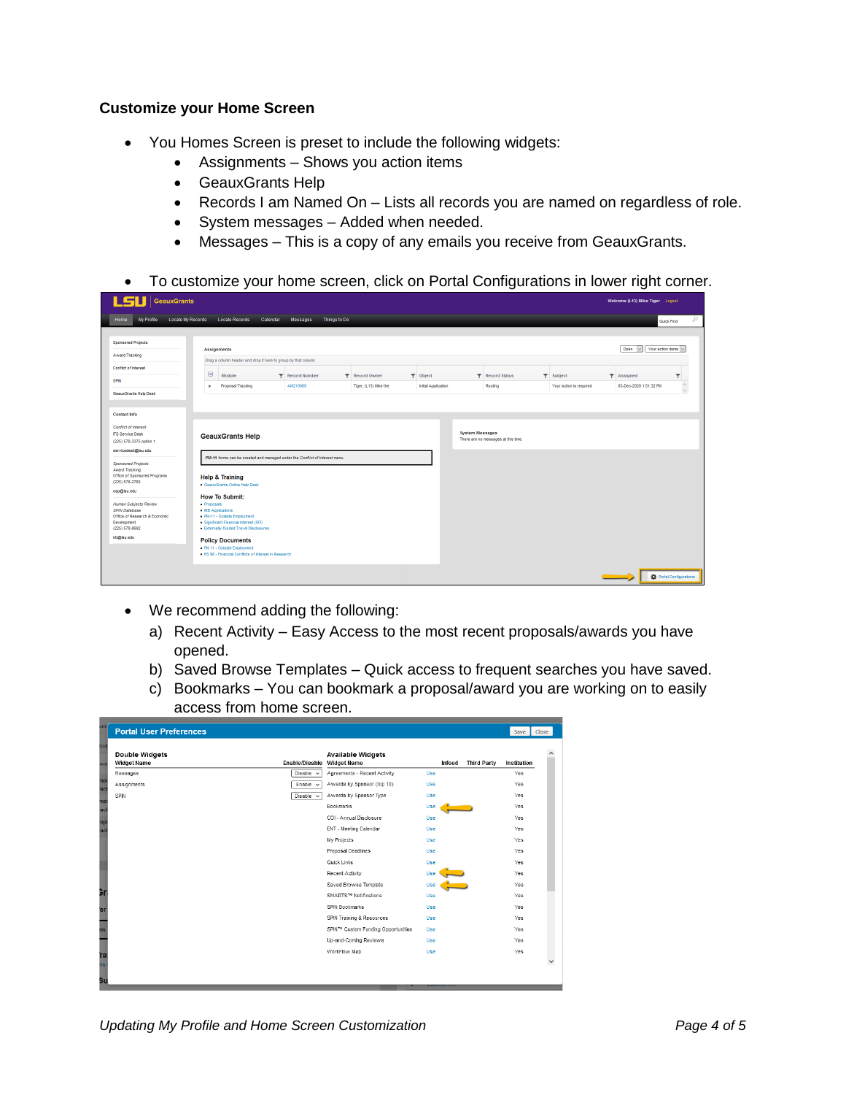## **Customize your Home Screen**

- $\bullet$ You Homes Screen is preset to include the following widgets:
	- Assignments Shows you action items  $\bullet$
	- GeauxGrants Help
	- Records I am Named On Lists all records you are named on regardless of role.
	- System messages Added when needed.
	- Messages This is a copy of any emails you receive from GeauxGrants.  $\bullet$
- To customize your home screen, click on Portal Configurations in lower right corner.

| $L$ <i>SLI</i>   GeauxGrants                                                                                             |                                                                                                                                                                                                                                                                                                         | Welcome (L13) Mike Tiger Logout                            |
|--------------------------------------------------------------------------------------------------------------------------|---------------------------------------------------------------------------------------------------------------------------------------------------------------------------------------------------------------------------------------------------------------------------------------------------------|------------------------------------------------------------|
| Locate My Records<br>Home<br>My Profile                                                                                  | <b>Locate Records</b><br>Calendar<br>Things to Do<br>Messages                                                                                                                                                                                                                                           | Q<br>Quick Find                                            |
| <b>Sponsored Projects</b><br>Award Tracking                                                                              | <b>Assignments</b><br>Drag a column header and drop it here to group by that column                                                                                                                                                                                                                     | Open $\overline{\vee}$ Your action items $\overline{\vee}$ |
| Conflict of Interest<br><b>SPIN</b>                                                                                      | $\boxed{\mathbf{v}}$<br>Module<br>$\blacktriangledown$ Object<br><b>T</b> Record Status<br>$\blacktriangleright$ Subject<br><b>T</b> Record Number<br><b>T</b> Record Owner<br>AM210069<br>Initial Application<br>Proposal Tracking<br>Tiger, (L13) Mike the<br>Routing<br>Your action is required<br>× | Y<br><b>T</b> Assigned<br>۸<br>03-Dec-2020 1:51:32 PM      |
| GeauxGrants Help Desk                                                                                                    |                                                                                                                                                                                                                                                                                                         | $\checkmark$                                               |
| <b>Contact Info</b><br>Conflict of Interest<br><b>ITS Service Desk</b><br>(225) 578-3375 option 1<br>servicedesk@lsu.edu | <b>System Messages</b><br><b>GeauxGrants Help</b><br>There are no messages at this time.                                                                                                                                                                                                                |                                                            |
| <b>Sponsored Projects</b><br><b>Award Tracking</b><br>Office of Sponsored Programs<br>(225) 578-2760<br>osp@lsu.edu      | PM-11 forms can be created and managed under the Conflict of Interest menu.<br><b>Help &amp; Training</b><br>GeauxGrants Online Help Desk<br><b>How To Submit:</b>                                                                                                                                      |                                                            |
| Human Subjects Review<br><b>SPIN Database</b><br>Office of Research & Economic<br>Development<br>(225) 578-8692          | - Proposals<br>RB Applications<br>PM-11 - Outside Employment<br>Significant Financial Interest (SFI)<br>Externally-funded Travel Disclosures                                                                                                                                                            |                                                            |
| irb@lsu.edu                                                                                                              | <b>Policy Documents</b><br>PM 11 - Outside Employment<br>PS 98 - Financial Conflicts of Interest in Research                                                                                                                                                                                            |                                                            |
|                                                                                                                          |                                                                                                                                                                                                                                                                                                         | <b>D</b> Portal Configurations                             |

- We recommend adding the following:
	- a) Recent Activity Easy Access to the most recent proposals/awards you have opened.
	- b) Saved Browse Templates Quick access to frequent searches you have saved.
	- c) Bookmarks You can bookmark a proposal/award you are working on to easily access from home screen.

|             | <b>Portal User Preferences</b>              |                |                                                |            |        |                    | Save        | Close |
|-------------|---------------------------------------------|----------------|------------------------------------------------|------------|--------|--------------------|-------------|-------|
| lod<br>wa   | <b>Double Widgets</b><br><b>Widget Name</b> | Enable/Disable | <b>Available Widgets</b><br><b>Widget Name</b> |            | Infoed | <b>Third Party</b> | Institution |       |
|             | Messages                                    | Disable $\sim$ | Agreements - Recent Activity                   | Use        |        |                    | Yes         |       |
| 'op<br>'acl | Assignments                                 | Enable $\sim$  | Awards by Sponsor (top 10)                     | Use        |        |                    | Yes         |       |
| 'opt        | SPIN                                        | Disable $\vee$ | Awards by Sponsor Type                         | Use        |        |                    | Yes         |       |
| acl         |                                             |                | Bookmarks                                      | Use        |        |                    | Yes         |       |
| 'op         |                                             |                | COI - Annual Disclosure                        | Use        |        |                    | Yes         |       |
| acl         |                                             |                | ENT - Meeting Calendar                         | Use        |        |                    | Yes         |       |
|             |                                             |                | My Projects                                    | Use        |        |                    | Yes         |       |
|             |                                             |                | Proposal Deadlines                             | Use        |        |                    | Yes         |       |
|             |                                             |                | Quick Links                                    | Use        |        |                    | Yes         |       |
|             |                                             |                | Recent Activity                                | Use        |        |                    | Yes         |       |
|             |                                             |                | Saved Browse Template                          | Use        |        |                    | Yes         |       |
| Эr          |                                             |                | SMARTS™ Notifications                          | Use        |        |                    | Yes         |       |
| er          |                                             |                | SPIN Bookmarks                                 | Use        |        |                    | Yes         |       |
|             |                                             |                | SPIN Training & Resources                      | Use        |        |                    | Yes         |       |
| ms          |                                             |                | SPIN™ Custom Funding Opportunities             | Use        |        |                    | Yes         |       |
|             |                                             |                | Up-and-Coming Reviews                          | <b>Use</b> |        |                    | Yes         |       |
| ra          |                                             |                | WorkFlow Map                                   | Use        |        |                    | Yes         |       |
| its         |                                             |                |                                                |            |        |                    |             |       |
|             |                                             |                |                                                |            |        |                    |             |       |
| Su          |                                             |                |                                                |            |        |                    |             |       |